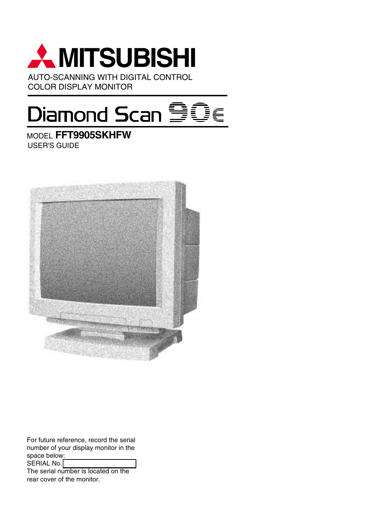

AUTO-SCANNING WITH DIGITAL CONTROL COLOR DISPLAY MONITOR

# Diamond Scan **AD**

MODEL **FFT9905SKHFW** USER'S GUIDE



For future reference, record the serial number of your display monitor in the space below: SERIAL No.

The serial number is located on the rear cover of the monitor.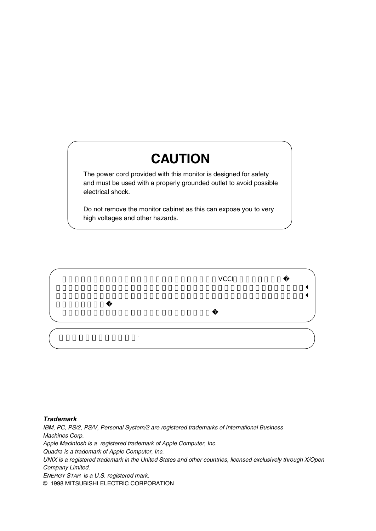### **CAUTION**

The power cord provided with this monitor is designed for safety and must be used with a properly grounded outlet to avoid possible electrical shock.

Do not remove the monitor cabinet as this can expose you to very high voltages and other hazards.

 $\vee$ CCI $\vee$ 

#### **Trademark**

IBM, PC, PS/2, PS/V, Personal System/2 are registered trademarks of International Business Machines Corp. Apple Macintosh is a registered trademark of Apple Computer, Inc. Quadra is a trademark of Apple Computer, Inc. UNIX is a registered trademark in the United States and other countries, licensed exclusively through X/Open Company Limited. ENERGY STAR is a U.S. registered mark. © 1998 MITSUBISHI ELECTRIC CORPORATION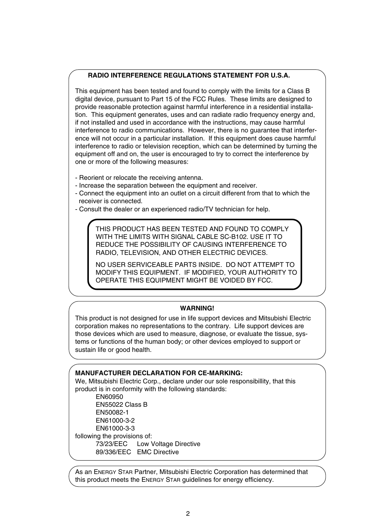#### **RADIO INTERFERENCE REGULATIONS STATEMENT FOR U.S.A.**

This equipment has been tested and found to comply with the limits for a Class B digital device, pursuant to Part 15 of the FCC Rules. These limits are designed to provide reasonable protection against harmful interference in a residential installation. This equipment generates, uses and can radiate radio frequency energy and, if not installed and used in accordance with the instructions, may cause harmful interference to radio communications. However, there is no guarantee that interference will not occur in a particular installation. If this equipment does cause harmful interference to radio or television reception, which can be determined by turning the equipment off and on, the user is encouraged to try to correct the interference by one or more of the following measures:

- Reorient or relocate the receiving antenna.
- Increase the separation between the equipment and receiver.
- Connect the equipment into an outlet on a circuit different from that to which the receiver is connected.
- Consult the dealer or an experienced radio/TV technician for help.

THIS PRODUCT HAS BEEN TESTED AND FOUND TO COMPLY WITH THE LIMITS WITH SIGNAL CABLE SC-B102. USE IT TO REDUCE THE POSSIBILITY OF CAUSING INTERFERENCE TO RADIO, TELEVISION, AND OTHER ELECTRIC DEVICES.

NO USER SERVICEABLE PARTS INSIDE. DO NOT ATTEMPT TO MODIFY THIS EQUIPMENT. IF MODIFIED, YOUR AUTHORITY TO OPERATE THIS EQUIPMENT MIGHT BE VOIDED BY FCC.

#### **WARNING!**

This product is not designed for use in life support devices and Mitsubishi Electric corporation makes no representations to the contrary. Life support devices are those devices which are used to measure, diagnose, or evaluate the tissue, systems or functions of the human body; or other devices employed to support or sustain life or good health.

#### **MANUFACTURER DECLARATION FOR CE-MARKING:**

We, Mitsubishi Electric Corp., declare under our sole responsibillity, that this product is in conformity with the following standards:

EN60950 EN55022 Class B EN50082-1 EN61000-3-2 EN61000-3-3 following the provisions of: 73/23/EEC Low Voltage Directive 89/336/EEC EMC Directive

As an ENERGY STAR Partner, Mitsubishi Electric Corporation has determined that this product meets the ENERGY STAR guidelines for energy efficiency.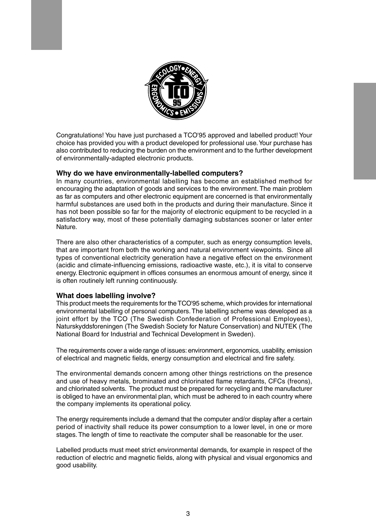

Congratulations! You have just purchased a TCO'95 approved and labelled product! Your choice has provided you with a product developed for professional use. Your purchase has also contributed to reducing the burden on the environment and to the further development of environmentally-adapted electronic products.

#### **Why do we have environmentally-labelled computers?**

In many countries, environmental labelling has become an established method for encouraging the adaptation of goods and services to the environment. The main problem as far as computers and other electronic equipment are concerned is that environmentally harmful substances are used both in the products and during their manufacture. Since it has not been possible so far for the majority of electronic equipment to be recycled in a satisfactory way, most of these potentially damaging substances sooner or later enter Nature.

There are also other characteristics of a computer, such as energy consumption levels, that are important from both the working and natural environment viewpoints. Since all types of conventional electricity generation have a negative effect on the environment (acidic and climate-influencing emissions, radioactive waste, etc.), it is vital to conserve energy. Electronic equipment in offices consumes an enormous amount of energy, since it is often routinely left running continuously.

#### **What does labelling involve?**

This product meets the requirements for the TCO'95 scheme, which provides for international environmental labelling of personal computers. The labelling scheme was developed as a joint effort by the TCO (The Swedish Confederation of Professional Employees), Naturskyddsforeningen (The Swedish Society for Nature Conservation) and NUTEK (The National Board for Industrial and Technical Development in Sweden).

The requirements cover a wide range of issues: environment, ergonomics, usability, emission of electrical and magnetic fields, energy consumption and electrical and fire safety.

The environmental demands concern among other things restrictions on the presence and use of heavy metals, brominated and chlorinated flame retardants, CFCs (freons), and chlorinated solvents. The product must be prepared for recycling and the manufacturer is obliged to have an environmental plan, which must be adhered to in each country where the company implements its operational policy.

The energy requirements include a demand that the computer and/or display after a certain period of inactivity shall reduce its power consumption to a lower level, in one or more stages. The length of time to reactivate the computer shall be reasonable for the user.

Labelled products must meet strict environmental demands, for example in respect of the reduction of electric and magnetic fields, along with physical and visual ergonomics and good usability.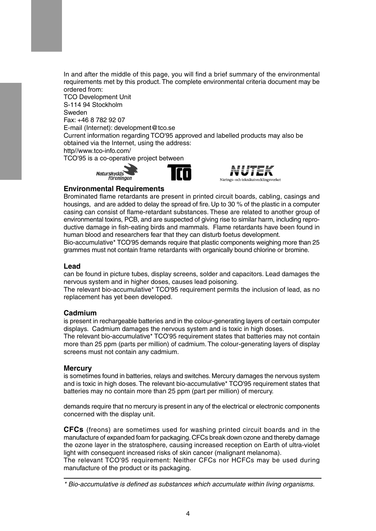In and after the middle of this page, you will find a brief summary of the environmental requirements met by this product. The complete environmental criteria document may be ordered from:

TCO Development Unit S-114 94 Stockholm Sweden Fax: +46 8 782 92 07 E-mail (Internet): development@tco.se Current information regarding TCO'95 approved and labelled products may also be obtained via the Internet, using the address: http//www.tco-info.com/ TCO'95 is a co-operative project between *Miite* 







#### **Environmental Requirements**

Brominated flame retardants are present in printed circuit boards, cabling, casings and housings, and are added to delay the spread of fire. Up to 30 % of the plastic in a computer casing can consist of flame-retardant substances. These are related to another group of environmental toxins, PCB, and are suspected of giving rise to similar harm, including reproductive damage in fish-eating birds and mammals. Flame retardants have been found in human blood and researchers fear that they can disturb foetus development.

Bio-accumulative\* TCO'95 demands require that plastic components weighing more than 25 grammes must not contain frame retardants with organically bound chlorine or bromine.

#### **Lead**

can be found in picture tubes, display screens, solder and capacitors. Lead damages the nervous system and in higher doses, causes lead poisoning.

The relevant bio-accumulative\* TCO'95 requirement permits the inclusion of lead, as no replacement has yet been developed.

#### **Cadmium**

is present in rechargeable batteries and in the colour-generating layers of certain computer displays. Cadmium damages the nervous system and is toxic in high doses.

The relevant bio-accumulative\* TCO'95 requirement states that batteries may not contain more than 25 ppm (parts per million) of cadmium. The colour-generating layers of display screens must not contain any cadmium.

#### **Mercury**

is sometimes found in batteries, relays and switches. Mercury damages the nervous system and is toxic in high doses. The relevant bio-accumulative\* TCO'95 requirement states that batteries may no contain more than 25 ppm (part per million) of mercury.

demands require that no mercury is present in any of the electrical or electronic components concerned with the display unit.

**CFCs** (freons) are sometimes used for washing printed circuit boards and in the manufacture of expanded foam for packaging. CFCs break down ozone and thereby damage the ozone layer in the stratosphere, causing increased reception on Earth of ultra-violet light with consequent increased risks of skin cancer (malignant melanoma).

The relevant TCO'95 requirement: Neither CFCs nor HCFCs may be used during manufacture of the product or its packaging.

<sup>\*</sup> Bio-accumulative is defined as substances which accumulate within living organisms.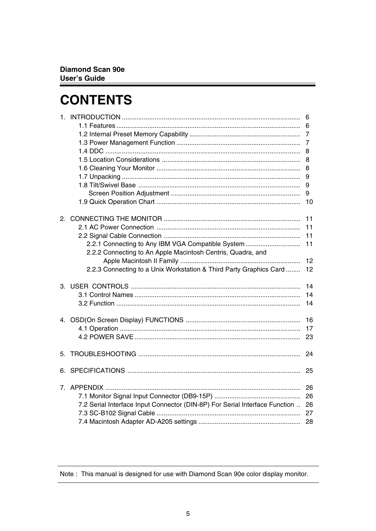### **CONTENTS**

|                                                                             | 6              |
|-----------------------------------------------------------------------------|----------------|
|                                                                             | 6              |
|                                                                             | $\overline{7}$ |
|                                                                             | $\overline{7}$ |
|                                                                             | 8              |
|                                                                             | 8              |
|                                                                             | 8              |
|                                                                             | 9              |
|                                                                             | 9              |
|                                                                             | 9              |
|                                                                             |                |
|                                                                             | 11             |
|                                                                             | 11             |
|                                                                             | 11             |
| 2.2.1 Connecting to Any IBM VGA Compatible System                           | 11             |
| 2.2.2 Connecting to An Apple Macintosh Centris, Quadra, and                 |                |
|                                                                             | 12             |
| 2.2.3 Connecting to a Unix Workstation & Third Party Graphics Card          | 12             |
|                                                                             | 14             |
|                                                                             | 14             |
|                                                                             | 14             |
|                                                                             | 16             |
|                                                                             | 17             |
|                                                                             | 23             |
|                                                                             | 24             |
|                                                                             | 25             |
|                                                                             |                |
|                                                                             | 26             |
| 7.2 Serial Interface Input Connector (DIN-8P) For Serial Interface Function | 26<br>26       |
|                                                                             |                |
|                                                                             |                |
|                                                                             |                |

Note: This manual is designed for use with Diamond Scan 90e color display monitor.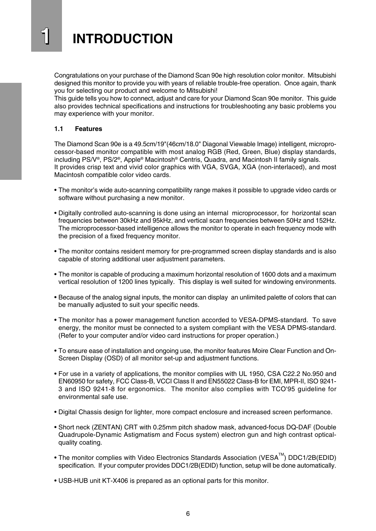### **1 INTRODUCTION**

Congratulations on your purchase of the Diamond Scan 90e high resolution color monitor. Mitsubishi designed this monitor to provide you with years of reliable trouble-free operation. Once again, thank you for selecting our product and welcome to Mitsubishi!

This guide tells you how to connect, adjust and care for your Diamond Scan 90e monitor. This guide also provides technical specifications and instructions for troubleshooting any basic problems you may experience with your monitor.

#### **1.1 Features**

The Diamond Scan 90e is a 49.5cm/19"(46cm/18.0" Diagonal Viewable Image) intelligent, microprocessor-based monitor compatible with most analog RGB (Red, Green, Blue) display standards, including PS/V®, PS/2®, Apple® Macintosh® Centris, Quadra, and Macintosh II family signals. It provides crisp text and vivid color graphics with VGA, SVGA, XGA (non-interlaced), and most Macintosh compatible color video cards.

- The monitor's wide auto-scanning compatibility range makes it possible to upgrade video cards or software without purchasing a new monitor.
- Digitally controlled auto-scanning is done using an internal microprocessor, for horizontal scan frequencies between 30kHz and 95kHz, and vertical scan frequencies between 50Hz and 152Hz. The microprocessor-based intelligence allows the monitor to operate in each frequency mode with the precision of a fixed frequency monitor.
- The monitor contains resident memory for pre-programmed screen display standards and is also capable of storing additional user adjustment parameters.
- The monitor is capable of producing a maximum horizontal resolution of 1600 dots and a maximum vertical resolution of 1200 lines typically. This display is well suited for windowing environments.
- Because of the analog signal inputs, the monitor can display an unlimited palette of colors that can be manually adjusted to suit your specific needs.
- The monitor has a power management function accorded to VESA-DPMS-standard. To save energy, the monitor must be connected to a system compliant with the VESA DPMS-standard. (Refer to your computer and/or video card instructions for proper operation.)
- To ensure ease of installation and ongoing use, the monitor features Moire Clear Function and On-Screen Display (OSD) of all monitor set-up and adjustment functions.
- For use in a variety of applications, the monitor complies with UL 1950, CSA C22.2 No.950 and EN60950 for safety, FCC Class-B, VCCI Class II and EN55022 Class-B for EMI, MPR-II, ISO 9241- 3 and ISO 9241-8 for ergonomics. The monitor also complies with TCO'95 guideline for environmental safe use.
- Digital Chassis design for lighter, more compact enclosure and increased screen performance.
- Short neck (ZENTAN) CRT with 0.25mm pitch shadow mask, advanced-focus DQ-DAF (Double Quadrupole-Dynamic Astigmatism and Focus system) electron gun and high contrast opticalquality coating.
- The monitor complies with Video Electronics Standards Association (VESA<sup>TM</sup>) DDC1/2B(EDID) specification. If your computer provides DDC1/2B(EDID) function, setup will be done automatically.
- USB-HUB unit KT-X406 is prepared as an optional parts for this monitor.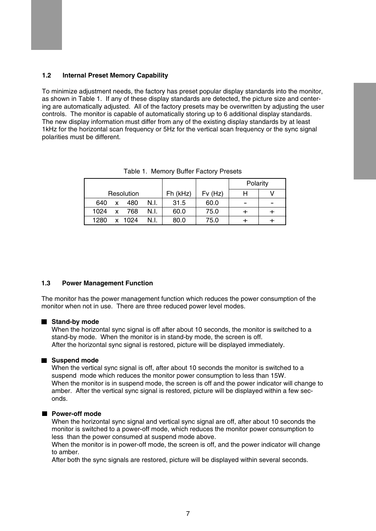#### **1.2 Internal Preset Memory Capability**

To minimize adjustment needs, the factory has preset popular display standards into the monitor, as shown in Table 1. If any of these display standards are detected, the picture size and centering are automatically adjusted. All of the factory presets may be overwritten by adjusting the user controls. The monitor is capable of automatically storing up to 6 additional display standards. The new display information must differ from any of the existing display standards by at least 1kHz for the horizontal scan frequency or 5Hz for the vertical scan frequency or the sync signal polarities must be different.

|      |              |            |      |          |        | Polarity |  |
|------|--------------|------------|------|----------|--------|----------|--|
|      |              | Resolution |      | Fh (kHz) | Fv(Hz) | н        |  |
| 640  | x            | 480        | N.I. | 31.5     | 60.0   |          |  |
| 1024 | $\mathsf{x}$ | 768        | N.I. | 60.0     | 75.0   |          |  |
| 1280 |              | x 1024     | N.I. | 80.0     | 75.0   |          |  |

Table 1. Memory Buffer Factory Presets

#### **1.3 Power Management Function**

The monitor has the power management function which reduces the power consumption of the monitor when not in use. There are three reduced power level modes.

#### ■ Stand-by mode

When the horizontal sync signal is off after about 10 seconds, the monitor is switched to a stand-by mode. When the monitor is in stand-by mode, the screen is off. After the horizontal sync signal is restored, picture will be displayed immediately.

#### **Suspend mode**

When the vertical sync signal is off, after about 10 seconds the monitor is switched to a suspend mode which reduces the monitor power consumption to less than 15W. When the monitor is in suspend mode, the screen is off and the power indicator will change to amber. After the vertical sync signal is restored, picture will be displayed within a few seconds.

#### **Power-off mode**

When the horizontal sync signal and vertical sync signal are off, after about 10 seconds the monitor is switched to a power-off mode, which reduces the monitor power consumption to less than the power consumed at suspend mode above.

When the monitor is in power-off mode, the screen is off, and the power indicator will change to amber.

After both the sync signals are restored, picture will be displayed within several seconds.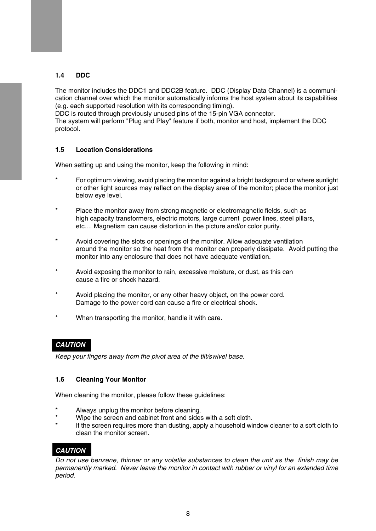#### **1.4 DDC**

The monitor includes the DDC1 and DDC2B feature. DDC (Display Data Channel) is a communication channel over which the monitor automatically informs the host system about its capabilities (e.g. each supported resolution with its corresponding timing).

DDC is routed through previously unused pins of the 15-pin VGA connector.

The system will perform "Plug and Play" feature if both, monitor and host, implement the DDC protocol.

#### **1.5 Location Considerations**

When setting up and using the monitor, keep the following in mind:

- For optimum viewing, avoid placing the monitor against a bright background or where sunlight or other light sources may reflect on the display area of the monitor; place the monitor just below eye level.
- \* Place the monitor away from strong magnetic or electromagnetic fields, such as high capacity transformers, electric motors, large current power lines, steel pillars, etc.... Magnetism can cause distortion in the picture and/or color purity.
- \* Avoid covering the slots or openings of the monitor. Allow adequate ventilation around the monitor so the heat from the monitor can properly dissipate. Avoid putting the monitor into any enclosure that does not have adequate ventilation.
- Avoid exposing the monitor to rain, excessive moisture, or dust, as this can cause a fire or shock hazard.
- Avoid placing the monitor, or any other heavy object, on the power cord. Damage to the power cord can cause a fire or electrical shock.
- \* When transporting the monitor, handle it with care.

#### **CAUTION**

Keep your fingers away from the pivot area of the tilt/swivel base.

#### **1.6 Cleaning Your Monitor**

When cleaning the monitor, please follow these guidelines:

- \* Always unplug the monitor before cleaning.<br>\* Wine the essenced sobinat front and eider
- \* Wipe the screen and cabinet front and sides with a soft cloth.
- If the screen requires more than dusting, apply a household window cleaner to a soft cloth to clean the monitor screen.

#### **CAUTION**

Do not use benzene, thinner or any volatile substances to clean the unit as the finish may be permanently marked. Never leave the monitor in contact with rubber or vinyl for an extended time period.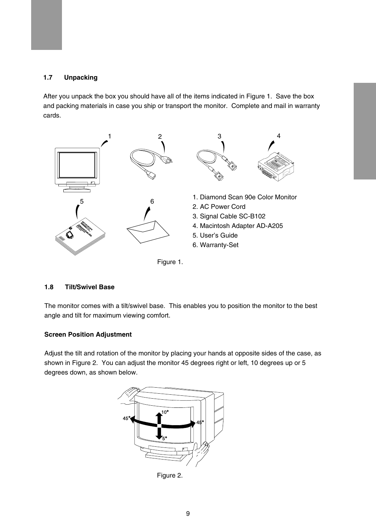#### **1.7 Unpacking**

After you unpack the box you should have all of the items indicated in Figure 1. Save the box and packing materials in case you ship or transport the monitor. Complete and mail in warranty cards.



#### **1.8 Tilt/Swivel Base**

The monitor comes with a tilt/swivel base. This enables you to position the monitor to the best angle and tilt for maximum viewing comfort.

#### **Screen Position Adjustment**

Adjust the tilt and rotation of the monitor by placing your hands at opposite sides of the case, as shown in Figure 2. You can adjust the monitor 45 degrees right or left, 10 degrees up or 5 degrees down, as shown below.



Figure 2.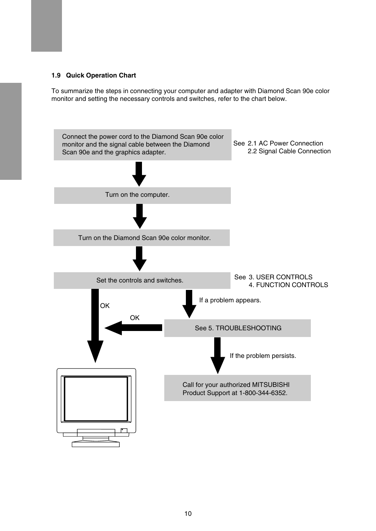#### **1.9 Quick Operation Chart**

To summarize the steps in connecting your computer and adapter with Diamond Scan 90e color monitor and setting the necessary controls and switches, refer to the chart below.

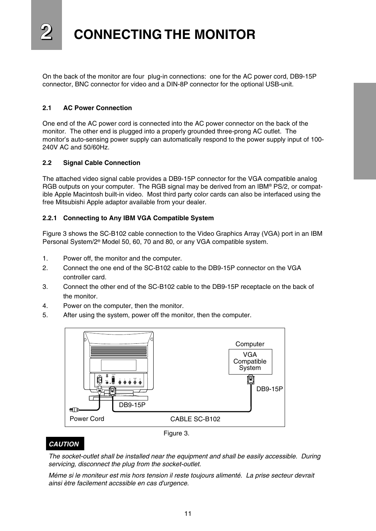### **2 CONNECTING THE MONITOR**

On the back of the monitor are four plug-in connections: one for the AC power cord, DB9-15P connector, BNC connector for video and a DIN-8P connector for the optional USB-unit.

#### **2.1 AC Power Connection**

One end of the AC power cord is connected into the AC power connector on the back of the monitor. The other end is plugged into a properly grounded three-prong AC outlet. The monitor's auto-sensing power supply can automatically respond to the power supply input of 100- 240V AC and 50/60Hz.

#### **2.2 Signal Cable Connection**

The attached video signal cable provides a DB9-15P connector for the VGA compatible analog RGB outputs on your computer. The RGB signal may be derived from an IBM® PS/2, or compatible Apple Macintosh built-in video. Most third party color cards can also be interfaced using the free Mitsubishi Apple adaptor available from your dealer.

#### **2.2.1 Connecting to Any IBM VGA Compatible System**

Figure 3 shows the SC-B102 cable connection to the Video Graphics Array (VGA) port in an IBM Personal System/2® Model 50, 60, 70 and 80, or any VGA compatible system.

- 1. Power off, the monitor and the computer.
- 2. Connect the one end of the SC-B102 cable to the DB9-15P connector on the VGA controller card.
- 3. Connect the other end of the SC-B102 cable to the DB9-15P receptacle on the back of the monitor.
- 4. Power on the computer, then the monitor.
- 5. After using the system, power off the monitor, then the computer.



#### Figure 3.

#### **CAUTION**

The socket-outlet shall be installed near the equipment and shall be easily accessible. During servicing, disconnect the plug from the socket-outlet.

Méme si le moniteur est mis hors tension il reste toujours alimenté. La prise secteur devrait ainsi ètre facilement accssible en cas d'urgence.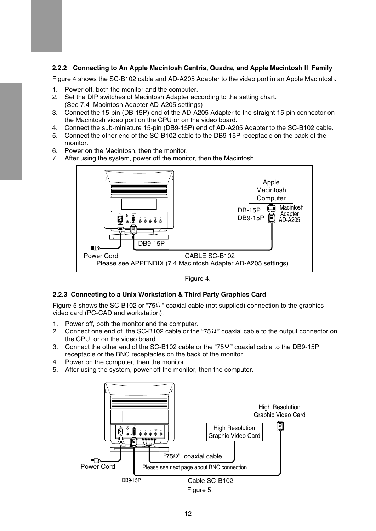#### **2.2.2 Connecting to An Apple Macintosh Centris, Quadra, and Apple Macintosh II Family**

Figure 4 shows the SC-B102 cable and AD-A205 Adapter to the video port in an Apple Macintosh.

- 1. Power off, both the monitor and the computer.
- 2. Set the DIP switches of Macintosh Adapter according to the setting chart. (See 7.4 Macintosh Adapter AD-A205 settings)
- 3. Connect the 15-pin (DB-15P) end of the AD-A205 Adapter to the straight 15-pin connector on the Macintosh video port on the CPU or on the video board.
- 4. Connect the sub-miniature 15-pin (DB9-15P) end of AD-A205 Adapter to the SC-B102 cable.
- 5. Connect the other end of the SC-B102 cable to the DB9-15P receptacle on the back of the monitor.
- 6. Power on the Macintosh, then the monitor.
- 7. After using the system, power off the monitor, then the Macintosh.



Figure 4.

#### **2.2.3 Connecting to a Unix Workstation & Third Party Graphics Card**

Figure 5 shows the SC-B102 or "75 $\Omega$ " coaxial cable (not supplied) connection to the graphics video card (PC-CAD and workstation).

- 1. Power off, both the monitor and the computer.
- 2. Connect one end of the SC-B102 cable or the "75 $\Omega$ " coaxial cable to the output connector on the CPU, or on the video board.
- 3. Connect the other end of the SC-B102 cable or the "75  $\Omega$ " coaxial cable to the DB9-15P receptacle or the BNC receptacles on the back of the monitor.
- 4. Power on the computer, then the monitor.
- 5. After using the system, power off the monitor, then the computer.



Figure 5.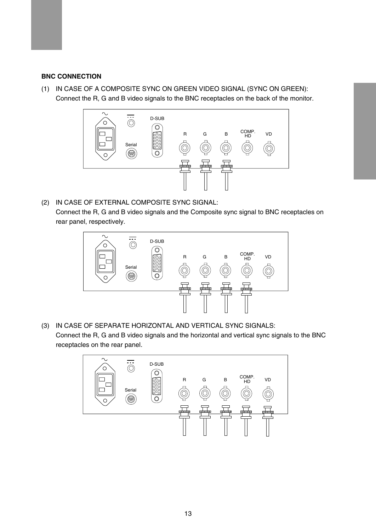#### **BNC CONNECTION**

(1) IN CASE OF A COMPOSITE SYNC ON GREEN VIDEO SIGNAL (SYNC ON GREEN): Connect the R, G and B video signals to the BNC receptacles on the back of the monitor.



(2) IN CASE OF EXTERNAL COMPOSITE SYNC SIGNAL: Connect the R, G and B video signals and the Composite sync signal to BNC receptacles on rear panel, respectively.



(3) IN CASE OF SEPARATE HORIZONTAL AND VERTICAL SYNC SIGNALS: Connect the R, G and B video signals and the horizontal and vertical sync signals to the BNC receptacles on the rear panel.

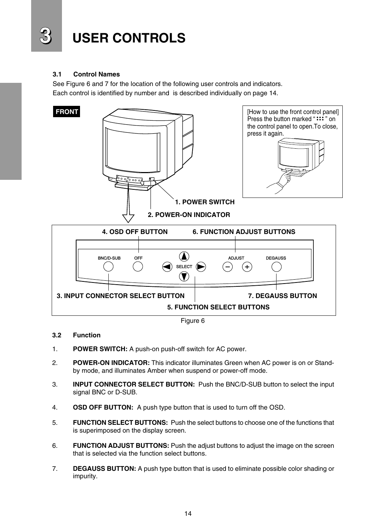

### **3 USER CONTROLS**

#### **3.1 Control Names**

See Figure 6 and 7 for the location of the following user controls and indicators. Each control is identified by number and is described individually on page 14.



Figure 6

#### **3.2 Function**

- 1. **POWER SWITCH:** A push-on push-off switch for AC power.
- 2. **POWER-ON INDICATOR:** This indicator illuminates Green when AC power is on or Standby mode, and illuminates Amber when suspend or power-off mode.
- 3. **INPUT CONNECTOR SELECT BUTTON:** Push the BNC/D-SUB button to select the input signal BNC or D-SUB.
- 4. **OSD OFF BUTTON:** A push type button that is used to turn off the OSD.
- 5. **FUNCTION SELECT BUTTONS:** Push the select buttons to choose one of the functions that is superimposed on the display screen.
- 6. **FUNCTION ADJUST BUTTONS:** Push the adjust buttons to adjust the image on the screen that is selected via the function select buttons.
- 7. **DEGAUSS BUTTON:** A push type button that is used to eliminate possible color shading or impurity.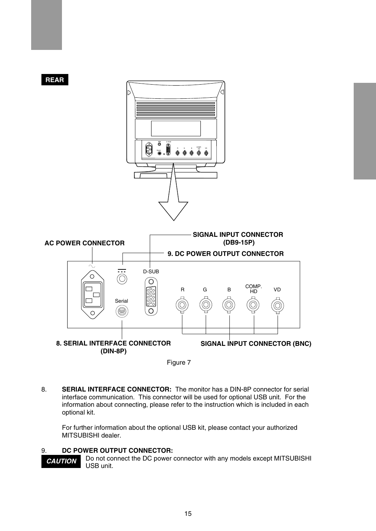



8. **SERIAL INTERFACE CONNECTOR:** The monitor has a DIN-8P connector for serial interface communication. This connector will be used for optional USB unit. For the information about connecting, please refer to the instruction which is included in each optional kit.

For further information about the optional USB kit, please contact your authorized MITSUBISHI dealer.

#### 9. **DC POWER OUTPUT CONNECTOR:**

**CAUTION**

Do not connect the DC power connector with any models except MITSUBISHI USB unit.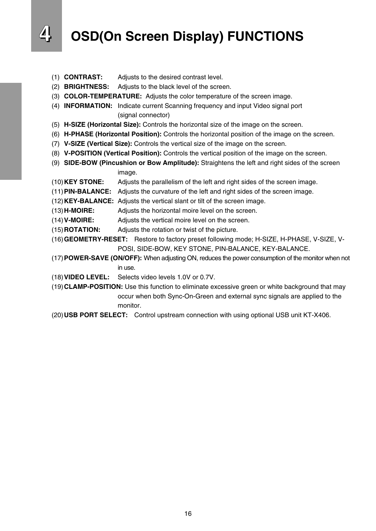### **4 OSD(On Screen Display) FUNCTIONS**

- (1) **CONTRAST:** Adjusts to the desired contrast level.
- (2) **BRIGHTNESS:** Adjusts to the black level of the screen.
- (3) **COLOR-TEMPERATURE:** Adjusts the color temperature of the screen image.
- (4) **INFORMATION:** Indicate current Scanning frequency and input Video signal port (signal connector)
- (5) **H-SIZE (Horizontal Size):** Controls the horizontal size of the image on the screen.
- (6) **H-PHASE (Horizontal Position):** Controls the horizontal position of the image on the screen.
- (7) **V-SIZE (Vertical Size):** Controls the vertical size of the image on the screen.
- (8) **V-POSITION (Vertical Position):** Controls the vertical position of the image on the screen.
- (9) **SIDE-BOW (Pincushion or Bow Amplitude):** Straightens the left and right sides of the screen image.
- (10)**KEY STONE:** Adjusts the parallelism of the left and right sides of the screen image.
- (11)**PIN-BALANCE:** Adjusts the curvature of the left and right sides of the screen image.
- (12)**KEY-BALANCE:** Adjusts the vertical slant or tilt of the screen image.
- (13)**H-MOIRE:** Adjusts the horizontal moire level on the screen.
- (14)**V-MOIRE:** Adjusts the vertical moire level on the screen.
- (15)**ROTATION:** Adjusts the rotation or twist of the picture.
- (16)**GEOMETRY-RESET:** Restore to factory preset following mode; H-SIZE, H-PHASE, V-SIZE, V-POSI, SIDE-BOW, KEY STONE, PIN-BALANCE, KEY-BALANCE.
- (17)**POWER-SAVE (ON/OFF):** When adjusting ON, reduces the power consumption of the monitor when not in use.
- (18)**VIDEO LEVEL:** Selects video levels 1.0V or 0.7V.
- (19)**CLAMP-POSITION:** Use this function to eliminate excessive green or white background that may occur when both Sync-On-Green and external sync signals are applied to the monitor.
- (20)**USB PORT SELECT:** Control upstream connection with using optional USB unit KT-X406.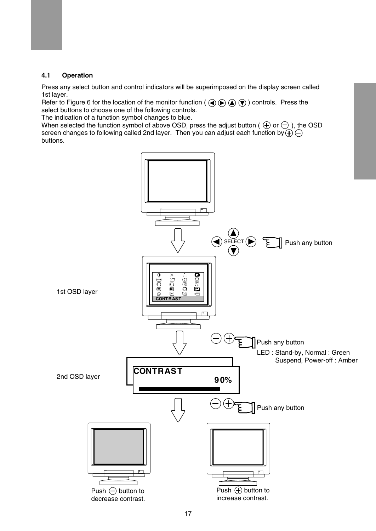#### **4.1 Operation**

Press any select button and control indicators will be superimposed on the display screen called 1st layer.

Refer to Figure 6 for the location of the monitor function ( $\bigodot$   $\bigodot$   $\bigodot$ ) controls. Press the select buttons to choose one of the following controls.

The indication of a function symbol changes to blue.

When selected the function symbol of above OSD, press the adjust button ( $\oplus$  or  $\ominus$  ), the OSD screen changes to following called 2nd layer. Then you can adjust each function by  $\widehat{P}(\widehat{\})$ buttons.

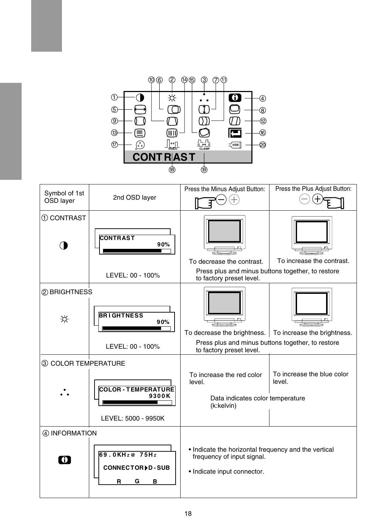

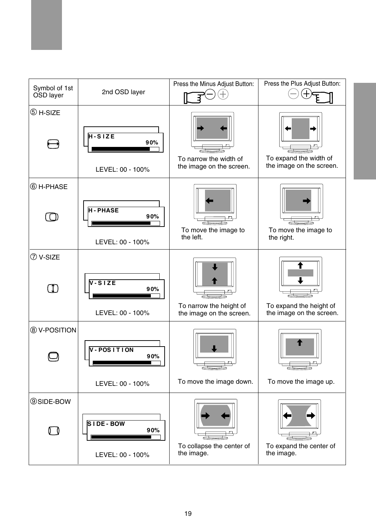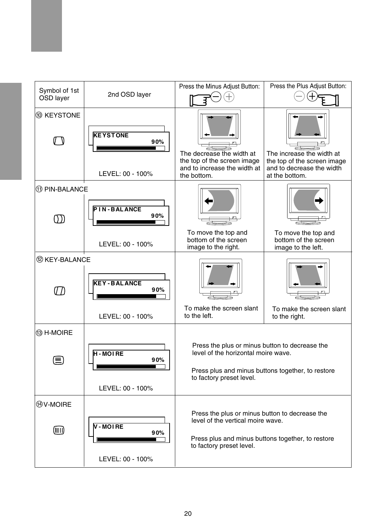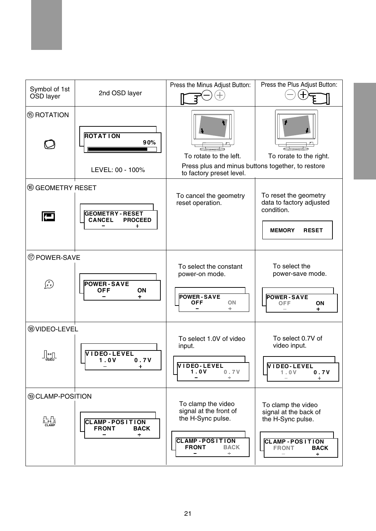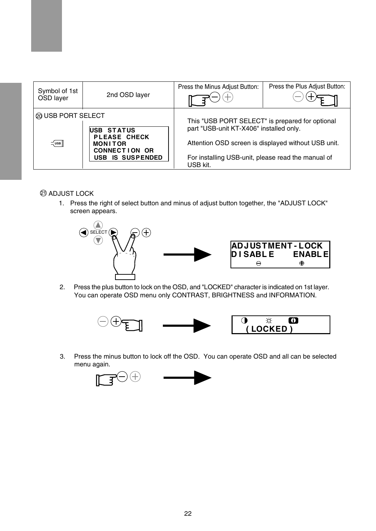| Symbol of 1st<br>OSD layer      | 2nd OSD layer                                                                                          | Press the Minus Adjust Button:                                                                                                                               | Press the Plus Adjust Button:                       |
|---------------------------------|--------------------------------------------------------------------------------------------------------|--------------------------------------------------------------------------------------------------------------------------------------------------------------|-----------------------------------------------------|
| @ USB PORT SELECT<br>$\leq$ USB | USB STATUS<br><b>PLEASE CHECK</b><br><b>MONITOR</b><br><b>CONNECTION OR</b><br><b>USB IS SUSPENDED</b> | This "USB PORT SELECT" is prepared for optional<br>part "USB-unit KT-X406" installed only.<br>For installing USB-unit, please read the manual of<br>USB kit. | Attention OSD screen is displayed without USB unit. |

ଥ) ADJUST LOCK

1. Press the right of select button and minus of adjust button together, the "ADJUST LOCK" screen appears.



2. Press the plus button to lock on the OSD, and "LOCKED" character is indicated on 1st layer. You can operate OSD menu only CONTRAST, BRIGHTNESS and INFORMATION.



3. Press the minus button to lock off the OSD. You can operate OSD and all can be selected menu again.

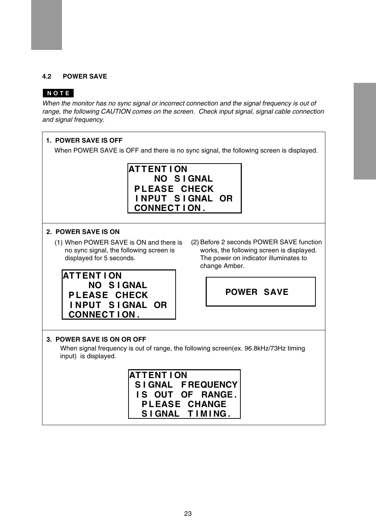#### **4.2 POWER SAVE**

#### **NOTE**

When the monitor has no sync signal or incorrect connection and the signal frequency is out of range, the following CAUTION comes on the screen. Check input signal, signal cable connection and signal frequency.

#### When POWER SAVE is OFF and there is no sync signal, the following screen is displayed. **2. POWER SAVE IS ON** When signal frequency is out of range, the following screen(ex. 96.8kHz/73Hz timing input) is displayed. **3. POWER SAVE IS ON OR OFF** (1) When POWER SAVE is ON and there is no sync signal, the following screen is displayed for 5 seconds. (2) Before 2 seconds POWER SAVE function works, the following screen is displayed. The power on indicator illuminates to change Amber. **1. POWER SAVE IS OFF ATTENT I ON NO S I GNAL PLEASE CHECK I NPUT S I GNAL OR CONNECT I ON . ATTENT I ON NO S I GNAL PLEASE CHECK I NPUT S I GNAL OR CONNECT I ON . POWER SAVE ATTENT I ON S I GNAL F REQUENCY PLEASE CHANGE I S OUT OF RANGE .**

**S I GNAL T I M I NG .**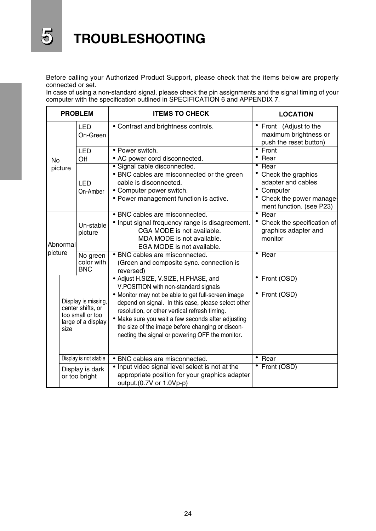

Before calling your Authorized Product Support, please check that the items below are properly connected or set.

In case of using a non-standard signal, please check the pin assignments and the signal timing of your computer with the specification outlined in SPECIFICATION 6 and APPENDIX 7.

|                                  | <b>PROBLEM</b>                                                                     | <b>ITEMS TO CHECK</b>                                                                                                                                                                                                                                                                                                                                                                                    | <b>LOCATION</b>                                                                                                                  |  |  |
|----------------------------------|------------------------------------------------------------------------------------|----------------------------------------------------------------------------------------------------------------------------------------------------------------------------------------------------------------------------------------------------------------------------------------------------------------------------------------------------------------------------------------------------------|----------------------------------------------------------------------------------------------------------------------------------|--|--|
|                                  | LED<br>On-Green                                                                    | • Contrast and brightness controls.                                                                                                                                                                                                                                                                                                                                                                      | Front (Adjust to the<br>maximum brightness or<br>push the reset button)                                                          |  |  |
| <b>No</b>                        | <b>LED</b><br>Off                                                                  | • Power switch.<br>• AC power cord disconnected.                                                                                                                                                                                                                                                                                                                                                         | • Front<br>Rear                                                                                                                  |  |  |
| picture                          | LED<br>On-Amber                                                                    | · Signal cable disconnected.<br>• BNC cables are misconnected or the green<br>cable is disconnected.<br>• Computer power switch.<br>• Power management function is active.                                                                                                                                                                                                                               | Rear<br>Check the graphics<br>adapter and cables<br>Computer<br>$\bullet$<br>Check the power manage-<br>ment function. (see P23) |  |  |
| Abnormal                         | Un-stable<br>picture                                                               | · BNC cables are misconnected.<br>• Input signal frequency range is disagreement.<br>CGA MODE is not available.<br>MDA MODE is not available.<br>EGA MODE is not available.                                                                                                                                                                                                                              | $\cdot$ Rear<br>Check the specification of<br>graphics adapter and<br>monitor                                                    |  |  |
| picture                          | No green<br>color with<br><b>BNC</b>                                               | · BNC cables are misconnected.<br>(Green and composite sync. connection is<br>reversed)                                                                                                                                                                                                                                                                                                                  | $\bullet$<br>Rear                                                                                                                |  |  |
| size                             | Display is missing,<br>center shifts, or<br>too small or too<br>large of a display | • Adjust H.SIZE, V.SIZE, H.PHASE, and<br>V.POSITION with non-standard signals<br>. Monitor may not be able to get full-screen image<br>depend on signal. In this case, please select other<br>resolution, or other vertical refresh timing.<br>• Make sure you wait a few seconds after adjusting<br>the size of the image before changing or discon-<br>necting the signal or powering OFF the monitor. | • Front (OSD)<br>• Front (OSD)                                                                                                   |  |  |
|                                  | Display is not stable                                                              | · BNC cables are misconnected.                                                                                                                                                                                                                                                                                                                                                                           | Rear                                                                                                                             |  |  |
| Display is dark<br>or too bright |                                                                                    | . Input video signal level select is not at the<br>appropriate position for your graphics adapter<br>output.(0.7V or 1.0Vp-p)                                                                                                                                                                                                                                                                            | • Front (OSD)                                                                                                                    |  |  |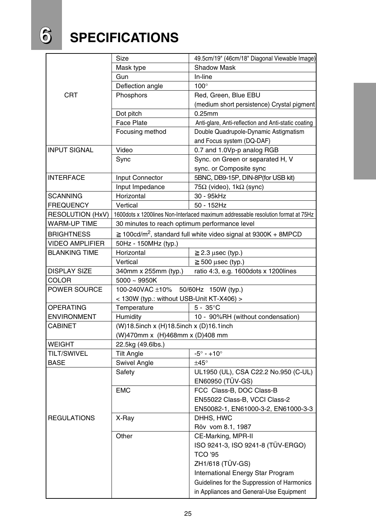## **6 SPECIFICATIONS**

|                         | <b>Size</b>                                   | 49.5cm/19" (46cm/18" Diagonal Viewable Image)                                     |
|-------------------------|-----------------------------------------------|-----------------------------------------------------------------------------------|
|                         | Mask type                                     | <b>Shadow Mask</b>                                                                |
|                         | Gun                                           | In-line                                                                           |
|                         | Deflection angle                              | $100^\circ$                                                                       |
| <b>CRT</b>              | Phosphors                                     | Red, Green, Blue EBU                                                              |
|                         |                                               | (medium short persistence) Crystal pigment                                        |
|                         | Dot pitch                                     | $0.25$ mm                                                                         |
|                         | <b>Face Plate</b>                             | Anti-glare, Anti-reflection and Anti-static coating                               |
|                         | Focusing method                               | Double Quadrupole-Dynamic Astigmatism                                             |
|                         |                                               | and Focus system (DQ-DAF)                                                         |
| <b>INPUT SIGNAL</b>     | Video                                         | 0.7 and 1.0Vp-p analog RGB                                                        |
|                         | Sync                                          | Sync. on Green or separated H, V                                                  |
|                         |                                               | sync. or Composite sync                                                           |
| <b>INTERFACE</b>        | Input Connector                               | 5BNC, DB9-15P, DIN-8P(for USB kit)                                                |
|                         | Input Impedance                               | 75 $\Omega$ (video), 1k $\Omega$ (sync)                                           |
| <b>SCANNING</b>         | Horizontal                                    | 30 - 95kHz                                                                        |
| <b>FREQUENCY</b>        | Vertical                                      | $50 - 152$ Hz                                                                     |
| <b>RESOLUTION (HxV)</b> |                                               | 1600dots x 1200lines Non-Interlaced maximum addressable resolution format at 75Hz |
| <b>WARM-UP TIME</b>     |                                               |                                                                                   |
|                         | 30 minutes to reach optimum performance level |                                                                                   |
| <b>BRIGHTNESS</b>       |                                               | 100cd/ $m^2$ , standard full white video signal at 9300K + 8MPCD                  |
| VIDEO AMPLIFIER         | 50Hz - 150MHz (typ.)                          |                                                                                   |
| <b>BLANKING TIME</b>    | Horizontal                                    | $2.3$ $\mu$ sec (typ.)                                                            |
|                         | Vertical                                      | 500 μsec (typ.)                                                                   |
| <b>DISPLAY SIZE</b>     | 340mm x 255mm (typ.)                          | ratio 4:3, e.g. 1600dots x 1200lines                                              |
| COLOR                   | $5000 \sim 9950K$                             |                                                                                   |
| POWER SOURCE            | 100-240VAC ±10%                               | 50/60Hz 150W (typ.)                                                               |
|                         | < 130W (typ.: without USB-Unit KT-X406) >     |                                                                                   |
| <b>OPERATING</b>        | Temperature                                   | $5 - 35^{\circ}$ C                                                                |
| <b>ENVIRONMENT</b>      | Humidity                                      | 10 - 90%RH (without condensation)                                                 |
| <b>CABINET</b>          | (W)18.5inch x (H)18.5inch x (D)16.1inch       |                                                                                   |
|                         | (W)470mm x (H)468mm x (D)408 mm               |                                                                                   |
| <b>WEIGHT</b>           | 22.5kg (49.6lbs.)                             |                                                                                   |
| TILT/SWIVEL             | <b>Tilt Angle</b>                             | $-5^{\circ} - +10^{\circ}$                                                        |
| <b>BASE</b>             | Swivel Angle                                  | ±45°                                                                              |
|                         | Safety                                        | UL1950 (UL), CSA C22.2 No.950 (C-UL)                                              |
|                         |                                               | EN60950 (TÜV-GS)                                                                  |
|                         | <b>EMC</b>                                    | FCC Class-B, DOC Class-B                                                          |
|                         |                                               | EN55022 Class-B, VCCI Class-2                                                     |
|                         |                                               | EN50082-1, EN61000-3-2, EN61000-3-3                                               |
| <b>REGULATIONS</b>      | X-Ray                                         | DHHS, HWC                                                                         |
|                         |                                               | Röv vom 8.1, 1987                                                                 |
|                         | Other                                         | CE-Marking, MPR-II                                                                |
|                         |                                               | ISO 9241-3, ISO 9241-8 (TÜV-ERGO)                                                 |
|                         |                                               | <b>TCO '95</b>                                                                    |
|                         |                                               | ZH1/618 (TÜV-GS)                                                                  |
|                         |                                               | International Energy Star Program                                                 |
|                         |                                               | Guidelines for the Suppression of Harmonics                                       |
|                         |                                               | in Appliances and General-Use Equipment                                           |
|                         |                                               |                                                                                   |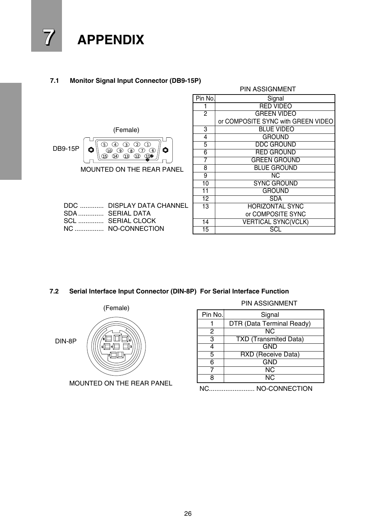#### **7.1 Monitor Signal Input Connector (DB9-15P)**

|                                                                                                  |                | <b>PIN ASSIGNMENT</b>              |
|--------------------------------------------------------------------------------------------------|----------------|------------------------------------|
|                                                                                                  | Pin No.        | Signal                             |
|                                                                                                  |                | <b>RED VIDEO</b>                   |
|                                                                                                  | $\overline{2}$ | <b>GREEN VIDEO</b>                 |
|                                                                                                  |                | or COMPOSITE SYNC with GREEN VIDEO |
| (Female)                                                                                         | 3              | <b>BLUE VIDEO</b>                  |
|                                                                                                  | 4              | <b>GROUND</b>                      |
| ඛ<br>5)<br>⋒<br>(4)<br>⊙<br><b>DB9-15P</b>                                                       | 5              | <b>DDC GROUND</b>                  |
| O<br>Q<br>⊙<br>◉<br>಄<br>(၅)<br>$^{\circ}$<br>$^{\circ}$<br>$^{\circ}$<br>$^{\circledR}$<br>t GD | 6              | <b>RED GROUND</b>                  |
|                                                                                                  | 7              | <b>GREEN GROUND</b>                |
| <b>MOUNTED ON THE REAR PANEL</b>                                                                 | 8              | <b>BLUE GROUND</b>                 |
|                                                                                                  | 9              | NC.                                |
|                                                                                                  | 10             | <b>SYNC GROUND</b>                 |
|                                                                                                  | 11             | <b>GROUND</b>                      |
|                                                                                                  | 12             | <b>SDA</b>                         |
| DDC<br>DISPLAY DATA CHANNEL                                                                      | 13             | <b>HORIZONTAL SYNC</b>             |
| <b>SERIAL DATA</b><br>SDA                                                                        |                | or COMPOSITE SYNC                  |
| SCL<br><b>SERIAL CLOCK</b>                                                                       | 14             | <b>VERTICAL SYNC(VCLK)</b>         |
| NO-CONNECTION<br>NC                                                                              | 15             | SCL                                |

#### **7.2 Serial Interface Input Connector (DIN-8P) For Serial Interface Function**



MOUNTED ON THE REAR PANEL

|         | <b>PIN ASSIGNMENT</b>        |
|---------|------------------------------|
| Pin No. | Signal                       |
|         | DTR (Data Terminal Ready)    |
| 2       | NC                           |
| 3       | <b>TXD (Transmited Data)</b> |
| 4       | <b>GND</b>                   |
| 5       | RXD (Receive Data)           |
| 6       | <b>GND</b>                   |
|         | $\overline{\text{NC}}$       |
|         | N <sub>C</sub>               |

NC......................... NO-CONNECTION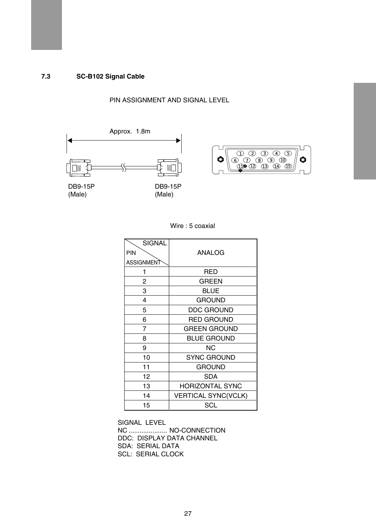#### **7.3 SC-B102 Signal Cable**

#### PIN ASSIGNMENT AND SIGNAL LEVEL





#### Wire : 5 coaxial

| <b>SIGNAL</b> |                            |
|---------------|----------------------------|
| PIN           | ANALOG                     |
| ASSIGNMENT    |                            |
| 1             | RED                        |
| 2             | <b>GREEN</b>               |
| 3             | <b>BLUE</b>                |
| 4             | <b>GROUND</b>              |
| 5             | DDC GROUND                 |
| 6             | <b>RED GROUND</b>          |
| 7             | <b>GREEN GROUND</b>        |
| 8             | <b>BLUE GROUND</b>         |
| 9             | ΝC                         |
| 10            | <b>SYNC GROUND</b>         |
| 11            | GROUND                     |
| 12            | SDA                        |
| 13            | <b>HORIZONTAL SYNC</b>     |
| 14            | <b>VERTICAL SYNC(VCLK)</b> |
| 15            | SCL                        |

SIGNAL LEVEL NC ..................... NO-CONNECTION DDC: DISPLAY DATA CHANNEL SDA: SERIAL DATA SCL: SERIAL CLOCK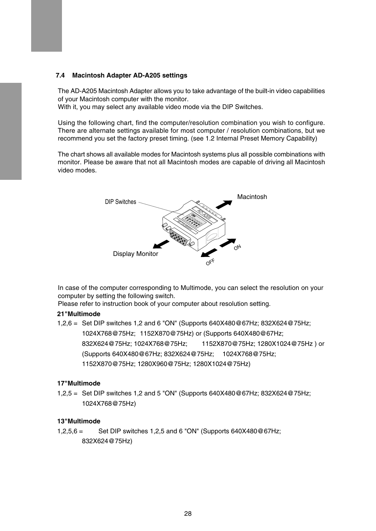#### **7.4 Macintosh Adapter AD-A205 settings**

The AD-A205 Macintosh Adapter allows you to take advantage of the built-in video capabilities of your Macintosh computer with the monitor.

With it, you may select any available video mode via the DIP Switches.

Using the following chart, find the computer/resolution combination you wish to configure. There are alternate settings available for most computer / resolution combinations, but we recommend you set the factory preset timing. (see 1.2 Internal Preset Memory Capability)

The chart shows all available modes for Macintosh systems plus all possible combinations with monitor. Please be aware that not all Macintosh modes are capable of driving all Macintosh video modes.



In case of the computer corresponding to Multimode, you can select the resolution on your computer by setting the following switch.

Please refer to instruction book of your computer about resolution setting.

#### **21"Multimode**

1,2,6 = Set DIP switches 1,2 and 6 "ON" (Supports 640X480@67Hz; 832X624@75Hz; 1024X768@75Hz; 1152X870@75Hz) or (Supports 640X480@67Hz; 832X624@75Hz; 1024X768@75Hz; 1152X870@75Hz; 1280X1024@75Hz ) or (Supports 640X480@67Hz; 832X624@75Hz; 1024X768@75Hz; 1152X870@75Hz; 1280X960@75Hz; 1280X1024@75Hz)

#### **17"Multimode**

1,2,5 = Set DIP switches 1,2 and 5 "ON" (Supports 640X480@67Hz; 832X624@75Hz; 1024X768@75Hz)

#### **13"Multimode**

 $1,2,5,6 =$  Set DIP switches 1,2,5 and 6 "ON" (Supports 640X480@67Hz; 832X624@75Hz)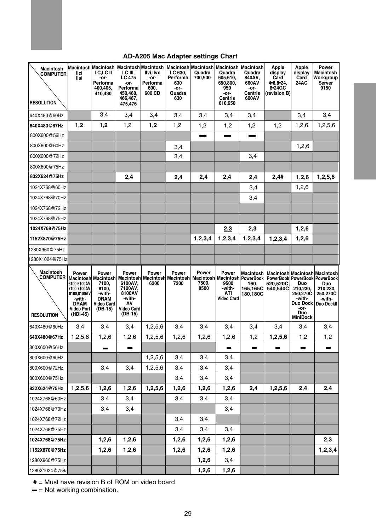| AD-A205 Mac Adapter settings Chart |  |  |  |  |
|------------------------------------|--|--|--|--|
|------------------------------------|--|--|--|--|

| Macintosh<br><b>COMPUTER</b><br><b>RESOLUTION</b> | llci<br>llsi                                                                                                   | Macintosh Macintosh   Macintosh Macintosh   Macintosh   Macintosh   Macintosh<br>LC,LC II<br>-or-<br>Performa<br>400.405.<br>410,430 | LC III,<br><b>LC 475</b><br>-or-<br>Performa<br>450,460,<br>466,467,<br>475,476       | llvi,llvx<br>-or-<br>Performa<br>600,<br>600 CD | LC 630.<br>Performa<br>630<br>-or-<br>Quadra<br>630 | Quadra<br>700,900      | Quadra<br>605,610,<br>650,800,<br>950<br>-or-<br><b>Centris</b><br>610,650 | Macintosh<br>Quadra<br>840AV,<br>660AV<br>-or-<br><b>Centris</b><br>600AV | Apple<br>display<br>Card<br>4•8,8•24,<br>8.24GC<br>(revision B)                                                                                                                         | Apple<br>display<br>Card<br><b>24AC</b>                                             | Power<br><b>Macintosh</b><br>Workgroup<br>Server<br>9150   |
|---------------------------------------------------|----------------------------------------------------------------------------------------------------------------|--------------------------------------------------------------------------------------------------------------------------------------|---------------------------------------------------------------------------------------|-------------------------------------------------|-----------------------------------------------------|------------------------|----------------------------------------------------------------------------|---------------------------------------------------------------------------|-----------------------------------------------------------------------------------------------------------------------------------------------------------------------------------------|-------------------------------------------------------------------------------------|------------------------------------------------------------|
| 640X480@60Hz                                      |                                                                                                                | 3,4                                                                                                                                  | 3,4                                                                                   | 3,4                                             | 3,4                                                 | 3,4                    | 3,4                                                                        | 3,4                                                                       |                                                                                                                                                                                         | 3.4                                                                                 | 3,4                                                        |
| 640X480@67Hz                                      | 1,2                                                                                                            | 1,2                                                                                                                                  | 1,2                                                                                   | 1,2                                             | 1,2                                                 | 1,2                    | 1,2                                                                        | 1,2                                                                       | 1,2                                                                                                                                                                                     | 1,2,6                                                                               | 1,2,5,6                                                    |
| 800X600@56Hz                                      |                                                                                                                |                                                                                                                                      |                                                                                       |                                                 |                                                     |                        |                                                                            |                                                                           |                                                                                                                                                                                         |                                                                                     |                                                            |
| 800X600@60Hz                                      |                                                                                                                |                                                                                                                                      |                                                                                       |                                                 | 3,4                                                 |                        |                                                                            |                                                                           |                                                                                                                                                                                         | 1,2,6                                                                               |                                                            |
| 800X600@72Hz                                      |                                                                                                                |                                                                                                                                      |                                                                                       |                                                 | 3,4                                                 |                        |                                                                            | 3,4                                                                       |                                                                                                                                                                                         |                                                                                     |                                                            |
| 800X600@75Hz                                      |                                                                                                                |                                                                                                                                      |                                                                                       |                                                 |                                                     |                        |                                                                            |                                                                           |                                                                                                                                                                                         |                                                                                     |                                                            |
| 832X624@75Hz                                      |                                                                                                                |                                                                                                                                      | 2,4                                                                                   |                                                 | 2,4                                                 | 2,4                    | 2,4                                                                        | 2,4                                                                       | 2,4#                                                                                                                                                                                    | 1,2,6                                                                               | 1,2,5,6                                                    |
| 1024X768@60Hz                                     |                                                                                                                |                                                                                                                                      |                                                                                       |                                                 |                                                     |                        |                                                                            | 3,4                                                                       |                                                                                                                                                                                         | 1,2,6                                                                               |                                                            |
| 1024X768@70Hz                                     |                                                                                                                |                                                                                                                                      |                                                                                       |                                                 |                                                     |                        |                                                                            | 3,4                                                                       |                                                                                                                                                                                         |                                                                                     |                                                            |
| 1024X768@72Hz                                     |                                                                                                                |                                                                                                                                      |                                                                                       |                                                 |                                                     |                        |                                                                            |                                                                           |                                                                                                                                                                                         |                                                                                     |                                                            |
| 1024X768@75Hz                                     |                                                                                                                |                                                                                                                                      |                                                                                       |                                                 |                                                     |                        |                                                                            |                                                                           |                                                                                                                                                                                         |                                                                                     |                                                            |
| 1024X768@75Hz                                     |                                                                                                                |                                                                                                                                      |                                                                                       |                                                 |                                                     |                        | 2,3                                                                        | 2,3                                                                       |                                                                                                                                                                                         | 1,2,6                                                                               |                                                            |
| 1152X870@75Hz                                     |                                                                                                                |                                                                                                                                      |                                                                                       |                                                 |                                                     | 1,2,3,4                | 1,2,3,4                                                                    | 1,2,3,4                                                                   | 1,2,3,4                                                                                                                                                                                 | 1,2,6                                                                               |                                                            |
| 1280X960@75Hz                                     |                                                                                                                |                                                                                                                                      |                                                                                       |                                                 |                                                     |                        |                                                                            |                                                                           |                                                                                                                                                                                         |                                                                                     |                                                            |
| 1280X1024@75Hz                                    |                                                                                                                |                                                                                                                                      |                                                                                       |                                                 |                                                     |                        |                                                                            |                                                                           |                                                                                                                                                                                         |                                                                                     |                                                            |
|                                                   |                                                                                                                |                                                                                                                                      |                                                                                       |                                                 |                                                     |                        |                                                                            |                                                                           |                                                                                                                                                                                         |                                                                                     |                                                            |
| Macintosh<br><b>COMPUTER</b><br><b>RESOLUTION</b> | Power<br>6100,6100AV,<br>7100,7100AV,<br>8100.8100AV<br>-with-<br><b>DRAM</b><br><b>Video Port</b><br>(HDI-45) | Power<br>7100,<br>8100,<br>-with-<br><b>DRAM</b><br>Video Card<br>(DB-15)                                                            | Power<br>6100AV,<br>7100AV.<br>8100AV<br>-with-<br>A٧<br><b>Video Card</b><br>(DB-15) | Power<br>6200                                   | Power<br>7200                                       | Power<br>7500.<br>8500 | Power<br>9500<br>-with-<br>ATI<br><b>Video Card</b>                        | 160.<br>165,165C<br>180,180C                                              | Macintosh   Macintosh   Macintosh   Macintosh<br>Macintosh Macintosh Macintosh Macintosh Macintosh Macintosh Macintosh PowerBook PowerBook PowerBook PowerBook<br>520,520C.<br>540,540C | Duo<br>210,230,<br>250,270C<br>-with-<br>Duo Dock<br>-or-<br>Duo<br><b>MiniDock</b> | Duo<br>210,230,<br>250,270C<br>-with-<br><b>Duo Dockll</b> |
| 640X480@60Hz                                      | 3,4                                                                                                            | 3,4                                                                                                                                  | 3,4                                                                                   | 1,2,5,6                                         | 3,4                                                 | 3,4                    | 3,4                                                                        | 3,4                                                                       | 3,4                                                                                                                                                                                     | 3,4                                                                                 | 3,4                                                        |
| 640X480@67Hz                                      | 1,2,5,6                                                                                                        | 1,2,6                                                                                                                                | 1,2,6                                                                                 | 1,2,5,6                                         | 1,2,6                                               | 1,2,6                  | 1,2,6                                                                      | 1,2                                                                       | 1,2,5,6                                                                                                                                                                                 | 1,2                                                                                 | 1,2                                                        |
| 800X600@56Hz                                      |                                                                                                                |                                                                                                                                      |                                                                                       |                                                 |                                                     |                        |                                                                            |                                                                           |                                                                                                                                                                                         | -                                                                                   |                                                            |
| 800X600@60Hz                                      |                                                                                                                |                                                                                                                                      |                                                                                       | 1,2,5,6                                         | 3,4                                                 | 3,4                    | 3,4                                                                        |                                                                           |                                                                                                                                                                                         |                                                                                     |                                                            |
| 800X600@72Hz                                      |                                                                                                                | 3,4                                                                                                                                  | 3,4                                                                                   | 1,2,5,6                                         | 3,4                                                 | 3,4                    | 3,4                                                                        |                                                                           |                                                                                                                                                                                         |                                                                                     |                                                            |
| 800X600@75Hz                                      |                                                                                                                |                                                                                                                                      |                                                                                       |                                                 | 3,4                                                 | 3,4                    | 3,4                                                                        |                                                                           |                                                                                                                                                                                         |                                                                                     |                                                            |
| 832X624@75Hz                                      | 1,2,5,6                                                                                                        | 1,2,6                                                                                                                                | 1,2,6                                                                                 | 1,2,5,6                                         | 1,2,6                                               | 1,2,6                  | 1,2,6                                                                      | 2,4                                                                       | 1,2,5,6                                                                                                                                                                                 | $_{\mathbf{2,4}}$                                                                   | 2,4                                                        |
| 1024X768@60Hz                                     |                                                                                                                | 3,4                                                                                                                                  | 3,4                                                                                   |                                                 | 3,4                                                 | 3,4                    | 3,4                                                                        |                                                                           |                                                                                                                                                                                         |                                                                                     |                                                            |
| 1024X768@70Hz                                     |                                                                                                                | 3,4                                                                                                                                  | 3,4                                                                                   |                                                 |                                                     |                        | 3,4                                                                        |                                                                           |                                                                                                                                                                                         |                                                                                     |                                                            |
| 1024X768@72Hz                                     |                                                                                                                |                                                                                                                                      |                                                                                       |                                                 | 3,4                                                 | 3,4                    |                                                                            |                                                                           |                                                                                                                                                                                         |                                                                                     |                                                            |
| 1024X768@75Hz                                     |                                                                                                                |                                                                                                                                      |                                                                                       |                                                 | 3,4                                                 | 3,4                    | 3,4                                                                        |                                                                           |                                                                                                                                                                                         |                                                                                     |                                                            |
| 1024X768@75Hz                                     |                                                                                                                | 1,2,6                                                                                                                                | 1,2,6                                                                                 |                                                 | 1,2,6                                               | 1,2,6                  | 1,2,6                                                                      |                                                                           |                                                                                                                                                                                         |                                                                                     | 2,3                                                        |
| 1152X870@75Hz                                     |                                                                                                                | 1,2,6                                                                                                                                | 1,2,6                                                                                 |                                                 | 1,2,6                                               | 1,2,6                  | 1,2,6                                                                      |                                                                           |                                                                                                                                                                                         |                                                                                     | 1,2,3,4                                                    |
| 1280X960@75Hz                                     |                                                                                                                |                                                                                                                                      |                                                                                       |                                                 |                                                     | 1,2,6                  | 3,4                                                                        |                                                                           |                                                                                                                                                                                         |                                                                                     |                                                            |

**#** = Must have revision B of ROM on video board

 $=$  Not working combination.